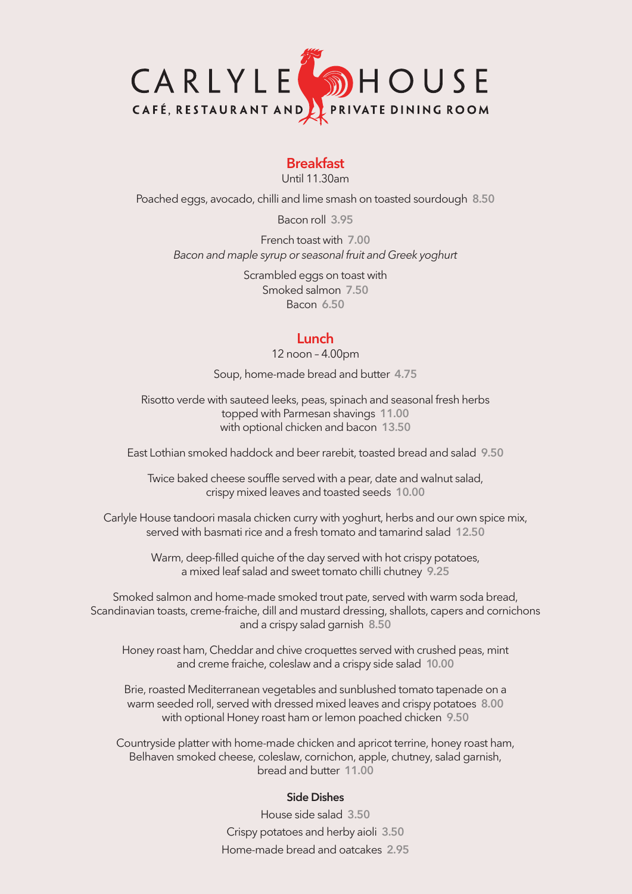

### **Breakfast**

Until 11.30am

Poached eggs, avocado, chilli and lime smash on toasted sourdough **8.50**

Bacon roll **3.95**

French toast with **7.00** *Bacon and maple syrup or seasonal fruit and Greek yoghurt*

> Scrambled eggs on toast with Smoked salmon **7.50** Bacon **6.50**

### **Lunch**

12 noon – 4.00pm

Soup, home-made bread and butter **4.75**

Risotto verde with sauteed leeks, peas, spinach and seasonal fresh herbs topped with Parmesan shavings **11.00** with optional chicken and bacon **13.50**

East Lothian smoked haddock and beer rarebit, toasted bread and salad **9.50**

Twice baked cheese souffle served with a pear, date and walnut salad, crispy mixed leaves and toasted seeds **10.00**

Carlyle House tandoori masala chicken curry with yoghurt, herbs and our own spice mix, served with basmati rice and a fresh tomato and tamarind salad **12.50**

> Warm, deep-filled quiche of the day served with hot crispy potatoes, a mixed leaf salad and sweet tomato chilli chutney **9.25**

Smoked salmon and home-made smoked trout pate, served with warm soda bread, Scandinavian toasts, creme-fraiche, dill and mustard dressing, shallots, capers and cornichons and a crispy salad garnish **8.50**

Honey roast ham, Cheddar and chive croquettes served with crushed peas, mint and creme fraiche, coleslaw and a crispy side salad **10.00**

Brie, roasted Mediterranean vegetables and sunblushed tomato tapenade on a warm seeded roll, served with dressed mixed leaves and crispy potatoes **8.00** with optional Honey roast ham or lemon poached chicken **9.50**

Countryside platter with home-made chicken and apricot terrine, honey roast ham, Belhaven smoked cheese, coleslaw, cornichon, apple, chutney, salad garnish, bread and butter **11.00**

#### **Side Dishes**

House side salad **3.50** Crispy potatoes and herby aioli **3.50** Home-made bread and oatcakes **2.95**